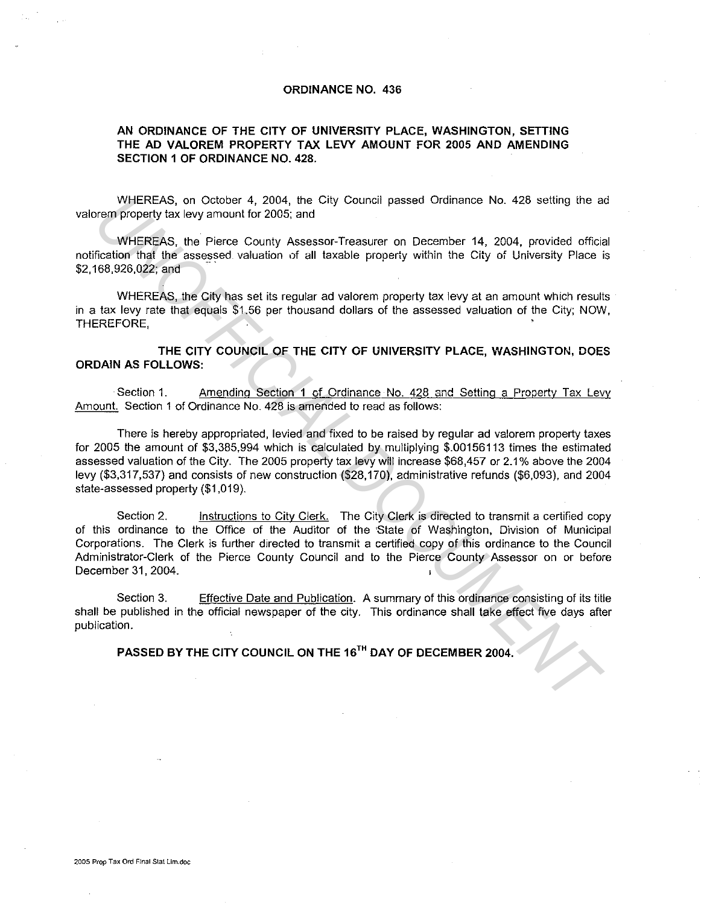## **ORDINANCE NO. 436**

## **AN ORDINANCE OF THE CITY OF UNIVERSITY PLACE, WASHINGTON, SETTING THE AD VALOREM PROPERTY TAX LEVY AMOUNT FOR 2005 AND AMENDING SECTION 1 OF ORDINANCE NO. 428.**

WHEREAS, on October 4, 2004, the City Council passed Ordinance No. 428 setting the ad vaiorem property tax levy amount for 2005; and

WHEREAS, the Pierce County Assessor-Treasurer on December 14, 2004, provided official notification that the assessed valuation of all taxable property within the City of University Place is \$2, 168,926,022; and

WHEREAS, the City has set its regular ad valorem property tax levy at an amount which results in a tax levy rate that equals \$1.56 per thousand dollars of the assessed valuation of the City; NOW, THEREFORE.

**THE CITY COUNCIL OF THE CITY OF UNIVERSITY PLACE, WASHINGTON, DOES ORDAIN AS FOLLOWS:** 

Section 1. Amending Section 1 of Ordinance No. 428 and Setting a Property Tax Levy Amount. Section 1 of Ordinance No. 428 is amended to read as follows:

There is hereby appropriated, levied and fixed to be raised by regular ad valorem property taxes for 2005 the amount of \$3,385,994 which is calculated by multiplying \$.00156113 times the estimated assessed valuation of the City. The 2005 property tax levy wiii increase \$68,457 or 2.1 % above the 2004 levy (\$3,317,537) and consists of new construction (\$28,170), administrative refunds (\$6,093), and 2004 state-assessed property (\$1,019). WHEREAS, on October 4, 2004, the City Council passed Ordinance No. 428 setting the a<br>
urem property tax levy amount for 2005; and<br>
WHEREAS, the Pierce Countly Assessor-Treasurer on December 14, 2004, provided official<br>
fre

Section 2. **instructions to City Clerk.** The City Clerk is directed to transmit a certified copy of this ordinance to the Office of the Auditor of the State of Washington, Division of Municipal Corporations. The Clerk is further directed to transmit a certified copy of this ordinance to the Council Administrator-Clerk of the Pierce County Council and to the Pierce County Assessor on or before December 31, 2004.

Section 3. Effective Date and Publication. A summary of this ordinance consisting of its title shall be published in the official newspaper of the city. This ordinance shall take effect five days after publication.

**PASSED BY THE CITY COUNCIL ON THE 16TH DAY OF DECEMBER 2004.**